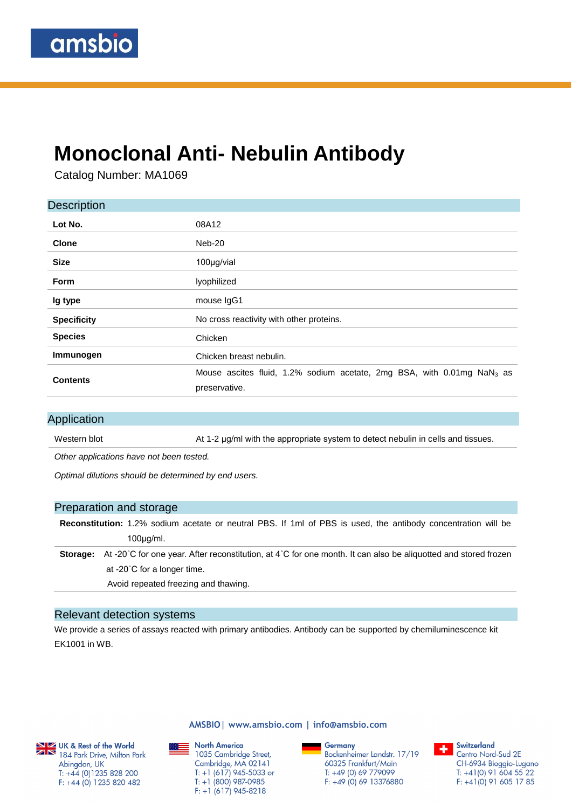# **Monoclonal Anti- Nebulin Antibody**

Catalog Number: MA1069

| <b>Description</b> |                                                                                                     |
|--------------------|-----------------------------------------------------------------------------------------------------|
| Lot No.            | 08A12                                                                                               |
| <b>Clone</b>       | Neb-20                                                                                              |
| <b>Size</b>        | 100µg/vial                                                                                          |
| <b>Form</b>        | lyophilized                                                                                         |
| Ig type            | mouse IgG1                                                                                          |
| <b>Specificity</b> | No cross reactivity with other proteins.                                                            |
| <b>Species</b>     | Chicken                                                                                             |
| Immunogen          | Chicken breast nebulin.                                                                             |
| <b>Contents</b>    | Mouse ascites fluid, 1.2% sodium acetate, 2mg BSA, with 0.01mg NaN <sub>3</sub> as<br>preservative. |

#### Application

Western blot **At 1-2 μg/ml with the appropriate system to detect nebulin in cells and tissues.** 

*Other applications have not been tested.*

*Optimal dilutions should be determined by end users.*

#### Preparation and storage

**Reconstitution:** 1.2% sodium acetate or neutral PBS. If 1ml of PBS is used, the antibody concentration will be 100μg/ml.

**Storage:** At -20˚C for one year. After reconstitution, at 4˚C for one month. It can also be aliquotted and stored frozen at -20˚C for a longer time.

Avoid repeated freezing and thawing.

#### Relevant detection systems

We provide a series of assays reacted with primary antibodies. Antibody can be supported by chemiluminescence kit EK1001 in WB.



184 Park Drive, Milton Park Abingdon, UK  $T: +44(0)1235828200$  $F: +44(0)$  1235 820 482

AMSBIO | www.amsbio.com | info@amsbio.com

**North America** ▩▬ 1035 Cambridge Street, Cambridge, MA 02141 T: +1 (617) 945-5033 or  $T: +1$  (800) 987-0985  $F: +1(617)$  945-8218

Germany Bockenheimer Landstr. 17/19 60325 Frankfurt/Main  $T: +49(0)69779099$  $F: +49(0)6913376880$ 

Switzerland ÷. Centro Nord-Sud 2E CH-6934 Bioggio-Lugano  $T: +41(0)$  91 604 55 22  $F: +41(0)$  91 605 17 85